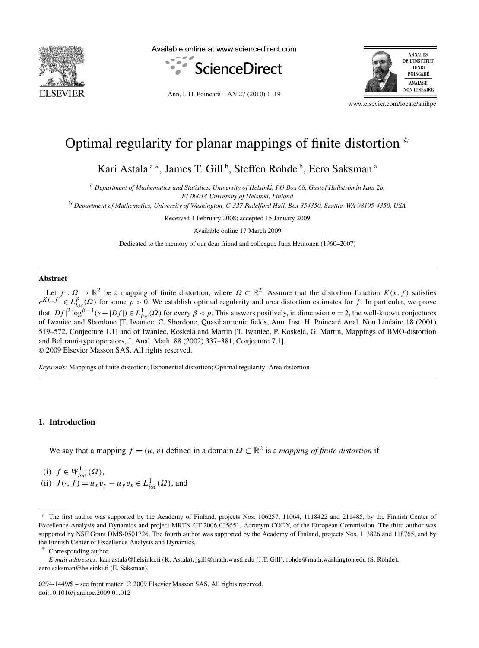

Available online at www.sciencedirect.com



Ann. I. H. Poincaré – AN 27 (2010) 1–19



www.elsevier.com/locate/anihpc

# Optimal regularity for planar mappings of finite distortion  $\dot{x}$

Kari Astala<sup>a,∗</sup>, James T. Gill<sup>b</sup>, Steffen Rohde<sup>b</sup>, Eero Saksman<sup>a</sup>

<sup>a</sup> *Department of Mathematics and Statistics, University of Helsinki, PO Box 68, Gustaf Hällströmin katu 2b, FI-00014 University of Helsinki, Finland*

<sup>b</sup> *Department of Mathematics, University of Washington, C-337 Padelford Hall, Box 354350, Seattle, WA 98195-4350, USA*

Received 1 February 2008; accepted 15 January 2009

Available online 17 March 2009

Dedicated to the memory of our dear friend and colleague Juha Heinonen (1960–2007)

# **Abstract**

Let  $f: \Omega \to \mathbb{R}^2$  be a mapping of finite distortion, where  $\Omega \subset \mathbb{R}^2$ . Assume that the distortion function  $K(x, f)$  satisfies  $e^{K(\cdot,f)} \in L_{loc}^p(\Omega)$  for some  $p > 0$ . We establish optimal regularity and area distortion estimates for *f*. In particular, we prove that  $|Df|^2 \log^{\beta-1}(e+|Df|) \in L^1_{loc}(\Omega)$  for every  $\beta < p$ . This answers positively, in dimension  $n = 2$ , the well-known conjectures of Iwaniec and Sbordone [T. Iwaniec, C. Sbordone, Quasiharmonic fields, Ann. Inst. H. Poincaré Anal. Non Linéaire 18 (2001) 519–572, Conjecture 1.1] and of Iwaniec, Koskela and Martin [T. Iwaniec, P. Koskela, G. Martin, Mappings of BMO-distortion and Beltrami-type operators, J. Anal. Math. 88 (2002) 337–381, Conjecture 7.1]. © 2009 Elsevier Masson SAS. All rights reserved.

*Keywords:* Mappings of finite distortion; Exponential distortion; Optimal regularity; Area distortion

### **1. Introduction**

We say that a mapping  $f = (u, v)$  defined in a domain  $\Omega \subset \mathbb{R}^2$  is a *mapping of finite distortion* if

(i) *f* ∈ *W*1*,*<sup>1</sup> *loc (Ω)*, (ii)  $J(\cdot, f) = u_x v_y - u_y v_x \in L^1_{loc}(\Omega)$ , and

*E-mail addresses:* kari.astala@helsinki.fi (K. Astala), jgill@math.wustl.edu (J.T. Gill), rohde@math.washington.edu (S. Rohde), eero.saksman@helsinki.fi (E. Saksman).

0294-1449/\$ – see front matter © 2009 Elsevier Masson SAS. All rights reserved. doi:10.1016/j.anihpc.2009.01.012

<sup>✩</sup> The first author was supported by the Academy of Finland, projects Nos. 106257, 11064, 1118422 and 211485, by the Finnish Center of Excellence Analysis and Dynamics and project MRTN-CT-2006-035651, Acronym CODY, of the European Commission. The third author was supported by NSF Grant DMS-0501726. The fourth author was supported by the Academy of Finland, projects Nos. 113826 and 118765, and by the Finnish Center of Excellence Analysis and Dynamics.

Corresponding author.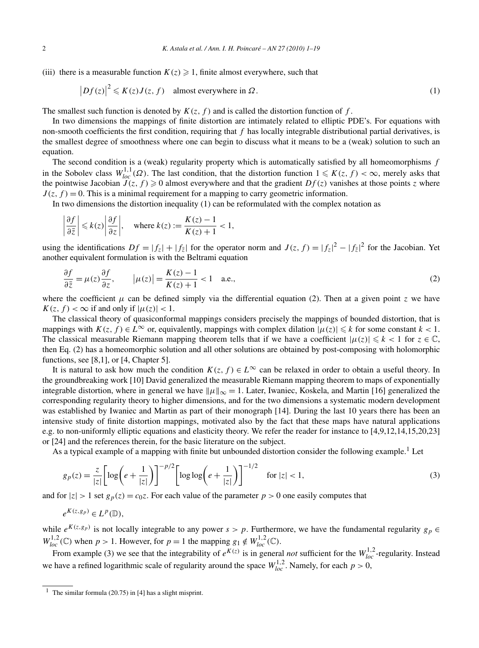(iii) there is a measurable function  $K(z) \geq 1$ , finite almost everywhere, such that

$$
|Df(z)|^2 \le K(z)J(z, f) \quad \text{almost everywhere in } \Omega. \tag{1}
$$

The smallest such function is denoted by  $K(z, f)$  and is called the distortion function of *f*.

In two dimensions the mappings of finite distortion are intimately related to elliptic PDE's. For equations with non-smooth coefficients the first condition, requiring that *f* has locally integrable distributional partial derivatives, is the smallest degree of smoothness where one can begin to discuss what it means to be a (weak) solution to such an equation.

The second condition is a (weak) regularity property which is automatically satisfied by all homeomorphisms *f* in the Sobolev class  $W_{loc}^{1,1}(\Omega)$ . The last condition, that the distortion function  $1 \leq K(z, f) < \infty$ , merely asks that the pointwise Jacobian  $J(z, f) \ge 0$  almost everywhere and that the gradient  $Df(z)$  vanishes at those points *z* where  $J(z, f) = 0$ . This is a minimal requirement for a mapping to carry geometric information.

In two dimensions the distortion inequality (1) can be reformulated with the complex notation as

$$
\left|\frac{\partial f}{\partial \bar{z}}\right| \le k(z) \left|\frac{\partial f}{\partial z}\right|, \quad \text{where } k(z) := \frac{K(z) - 1}{K(z) + 1} < 1,
$$

using the identifications  $Df = |f_z| + |f_{\overline{z}}|$  for the operator norm and  $J(z, f) = |f_z|^2 - |f_{\overline{z}}|^2$  for the Jacobian. Yet another equivalent formulation is with the Beltrami equation

$$
\frac{\partial f}{\partial \bar{z}} = \mu(z) \frac{\partial f}{\partial z}, \qquad |\mu(z)| = \frac{K(z) - 1}{K(z) + 1} < 1 \quad \text{a.e.,} \tag{2}
$$

where the coefficient  $\mu$  can be defined simply via the differential equation (2). Then at a given point *z* we have  $K(z, f) < \infty$  if and only if  $|\mu(z)| < 1$ .

The classical theory of quasiconformal mappings considers precisely the mappings of bounded distortion, that is mappings with  $K(z, f) \in L^{\infty}$  or, equivalently, mappings with complex dilation  $|\mu(z)| \leq k$  for some constant  $k < 1$ . The classical measurable Riemann mapping theorem tells that if we have a coefficient  $|\mu(z)| \leq k < 1$  for  $z \in \mathbb{C}$ , then Eq. (2) has a homeomorphic solution and all other solutions are obtained by post-composing with holomorphic functions, see [8,1], or [4, Chapter 5].

It is natural to ask how much the condition  $K(z, f) \in L^{\infty}$  can be relaxed in order to obtain a useful theory. In the groundbreaking work [10] David generalized the measurable Riemann mapping theorem to maps of exponentially integrable distortion, where in general we have  $\|\mu\|_{\infty} = 1$ . Later, Iwaniec, Koskela, and Martin [16] generalized the corresponding regularity theory to higher dimensions, and for the two dimensions a systematic modern development was established by Iwaniec and Martin as part of their monograph [14]. During the last 10 years there has been an intensive study of finite distortion mappings, motivated also by the fact that these maps have natural applications e.g. to non-uniformly elliptic equations and elasticity theory. We refer the reader for instance to [4,9,12,14,15,20,23] or [24] and the references therein, for the basic literature on the subject.

As a typical example of a mapping with finite but unbounded distortion consider the following example.<sup>1</sup> Let

$$
g_p(z) = \frac{z}{|z|} \left[ \log \left( e + \frac{1}{|z|} \right) \right]^{-p/2} \left[ \log \log \left( e + \frac{1}{|z|} \right) \right]^{-1/2} \quad \text{for } |z| < 1,\tag{3}
$$

and for  $|z| > 1$  set  $g_p(z) = c_0 z$ . For each value of the parameter  $p > 0$  one easily computes that

$$
e^{K(z,g_p)} \in L^p(\mathbb{D}),
$$

while  $e^{K(z,g_p)}$  is not locally integrable to any power  $s > p$ . Furthermore, we have the fundamental regularity  $g_p \in$  $W_{loc}^{1,2}(\mathbb{C})$  when  $p > 1$ . However, for  $p = 1$  the mapping  $g_1 \notin W_{loc}^{1,2}(\mathbb{C})$ .

From example (3) we see that the integrability of  $e^{K(z)}$  is in general *not* sufficient for the  $W_{loc}^{1,2}$ -regularity. Instead we have a refined logarithmic scale of regularity around the space  $W_{loc}^{1,2}$ . Namely, for each  $p > 0$ ,

<sup>&</sup>lt;sup>1</sup> The similar formula (20.75) in [4] has a slight misprint.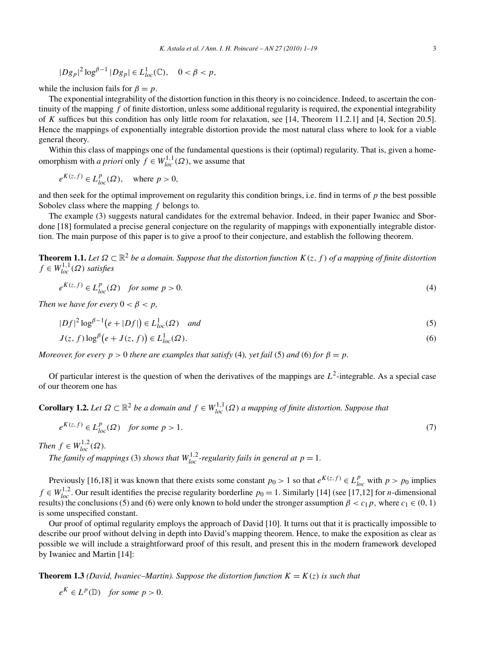$$
|Dg_p|^2 \log^{\beta - 1} |Dg_p| \in L^1_{loc}(\mathbb{C}), \quad 0 < \beta < p,
$$

while the inclusion fails for  $\beta = p$ .

The exponential integrability of the distortion function in this theory is no coincidence. Indeed, to ascertain the continuity of the mapping *f* of finite distortion, unless some additional regularity is required, the exponential integrability of *K* suffices but this condition has only little room for relaxation, see [14, Theorem 11.2.1] and [4, Section 20.5]. Hence the mappings of exponentially integrable distortion provide the most natural class where to look for a viable general theory.

Within this class of mappings one of the fundamental questions is their (optimal) regularity. That is, given a homeomorphism with *a priori* only  $f \in W_{loc}^{1,1}(\Omega)$ , we assume that

 $e^{K(z,f)} \in L_{loc}^p(\Omega)$ , where  $p > 0$ ,

and then seek for the optimal improvement on regularity this condition brings, i.e. find in terms of *p* the best possible Sobolev class where the mapping *f* belongs to.

The example (3) suggests natural candidates for the extremal behavior. Indeed, in their paper Iwaniec and Sbordone [18] formulated a precise general conjecture on the regularity of mappings with exponentially integrable distortion. The main purpose of this paper is to give a proof to their conjecture, and establish the following theorem.

**Theorem 1.1.** *Let Ω* ⊂ R<sup>2</sup> *be a domain. Suppose that the distortion function K(z,f ) of a mapping of finite distortion*  $f \in W_{loc}^{1,1}(\Omega)$  *satisfies* 

$$
e^{K(z,f)} \in L_{loc}^p(\Omega) \quad \text{for some } p > 0. \tag{4}
$$

*Then we have for every*  $0 < \beta < p$ ,

$$
|Df|^2 \log^{\beta - 1} \left( e + |Df| \right) \in L^1_{loc}(\Omega) \quad \text{and} \tag{5}
$$

$$
J(z, f) \log^{\beta} \left( e + J(z, f) \right) \in L_{loc}^{1}(\Omega). \tag{6}
$$

*Moreover, for every*  $p > 0$  *there are examples that satisfy* (4)*, yet fail* (5) *and* (6) *for*  $\beta = p$ *.* 

Of particular interest is the question of when the derivatives of the mappings are  $L^2$ -integrable. As a special case of our theorem one has

**Corollary 1.2.** *Let*  $\Omega \subset \mathbb{R}^2$  *be a domain and*  $f \in W_{loc}^{1,1}(\Omega)$  *a mapping of finite distortion. Suppose that* 

$$
e^{K(z,f)} \in L_{loc}^p(\Omega) \quad \text{for some } p > 1. \tag{7}
$$

*Then*  $f \in W_{loc}^{1,2}(\Omega)$ *.* 

*The family of mappings* (3) *shows that*  $W_{loc}^{1,2}$ -regularity fails in general at  $p = 1$ .

Previously [16,18] it was known that there exists some constant  $p_0 > 1$  so that  $e^{K(z,f)} \in L_{loc}^p$  with  $p > p_0$  implies *f* ∈  $W_{loc}^{1,2}$ . Our result identifies the precise regularity borderline *p*<sub>0</sub> = 1. Similarly [14] (see [17,12] for *n*-dimensional results) the conclusions (5) and (6) were only known to hold under the stronger assumption  $\beta < c_1 p$ , where  $c_1 \in (0, 1)$ is some unspecified constant.

Our proof of optimal regularity employs the approach of David [10]. It turns out that it is practically impossible to describe our proof without delving in depth into David's mapping theorem. Hence, to make the exposition as clear as possible we will include a straightforward proof of this result, and present this in the modern framework developed by Iwaniec and Martin [14]:

**Theorem 1.3** *(David, Iwaniec–Martin). Suppose the distortion function*  $K = K(z)$  *is such that* 

 $e^{K} \in L^{p}(\mathbb{D})$  *for some*  $p > 0$ *.*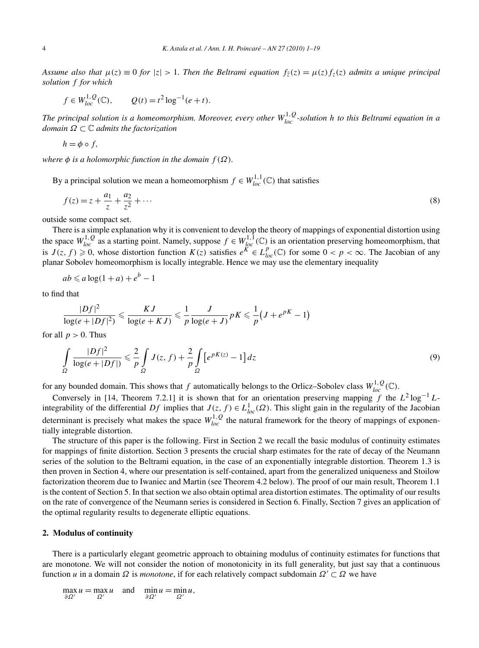*Assume also that*  $\mu(z) \equiv 0$  *for*  $|z| > 1$ *. Then the Beltrami equation*  $f_{\overline{z}}(z) = \mu(z) f_z(z)$  *admits a unique principal solution f for which*

$$
f \in W_{loc}^{1,Q}(\mathbb{C}), \qquad Q(t) = t^2 \log^{-1}(e+t).
$$

*The principal solution is a homeomorphism. Moreover, every other W*1*,Q loc -solution h to this Beltrami equation in a domain Ω* ⊂ C *admits the factorization*

$$
h=\phi\circ f,
$$

*where*  $\phi$  *is a holomorphic function in the domain*  $f(\Omega)$ *.* 

By a principal solution we mean a homeomorphism  $f \in W_{loc}^{1,1}(\mathbb{C})$  that satisfies

$$
f(z) = z + \frac{a_1}{z} + \frac{a_2}{z^2} + \dotsb
$$
 (8)

outside some compact set.

There is a simple explanation why it is convenient to develop the theory of mappings of exponential distortion using the space  $W_{loc}^{1, Q}$  as a starting point. Namely, suppose  $f \in W_{loc}^{1, 1}(\mathbb{C})$  is an orientation preserving homeomorphism, that is  $J(z, f) \ge 0$ , whose distortion function  $K(z)$  satisfies  $e^{K} \in L_{loc}^p(\mathbb{C})$  for some  $0 < p < \infty$ . The Jacobian of any planar Sobolev homeomorphism is locally integrable. Hence we may use the elementary inequality

$$
ab \leq a \log(1+a) + e^b - 1
$$

to find that

$$
\frac{|Df|^2}{\log(e+|Df|^2)} \leqslant \frac{KJ}{\log(e+KJ)} \leqslant \frac{1}{p} \frac{J}{\log(e+J)} pK \leqslant \frac{1}{p} \left( J + e^{pK} - 1 \right)
$$

for all  $p > 0$ . Thus

$$
\int_{\Omega} \frac{|Df|^2}{\log(e+|Df|)} \leq \frac{2}{p} \int_{\Omega} J(z,f) + \frac{2}{p} \int_{\Omega} \left[e^{pK(z)} - 1\right] dz \tag{9}
$$

for any bounded domain. This shows that *f* automatically belongs to the Orlicz–Sobolev class  $W_{loc}^{1,Q}(\mathbb{C})$ .

Conversely in [14, Theorem 7.2.1] it is shown that for an orientation preserving mapping *f* the *L*<sup>2</sup> log−<sup>1</sup> *L*integrability of the differential *Df* implies that  $J(z, f) \in L^1_{loc}(\Omega)$ . This slight gain in the regularity of the Jacobian determinant is precisely what makes the space  $W_{loc}^{1,Q}$  the natural framework for the theory of mappings of exponentially integrable distortion.

The structure of this paper is the following. First in Section 2 we recall the basic modulus of continuity estimates for mappings of finite distortion. Section 3 presents the crucial sharp estimates for the rate of decay of the Neumann series of the solution to the Beltrami equation, in the case of an exponentially integrable distortion. Theorem 1.3 is then proven in Section 4, where our presentation is self-contained, apart from the generalized uniqueness and Stoilow factorization theorem due to Iwaniec and Martin (see Theorem 4.2 below). The proof of our main result, Theorem 1.1 is the content of Section 5. In that section we also obtain optimal area distortion estimates. The optimality of our results on the rate of convergence of the Neumann series is considered in Section 6. Finally, Section 7 gives an application of the optimal regularity results to degenerate elliptic equations.

## **2. Modulus of continuity**

There is a particularly elegant geometric approach to obtaining modulus of continuity estimates for functions that are monotone. We will not consider the notion of monotonicity in its full generality, but just say that a continuous function *u* in a domain *Ω* is *monotone*, if for each relatively compact subdomain *Ω* ⊂ *Ω* we have

$$
\max_{\partial \Omega'} u = \max_{\Omega'} u \quad \text{and} \quad \min_{\partial \Omega'} u = \min_{\Omega'} u,
$$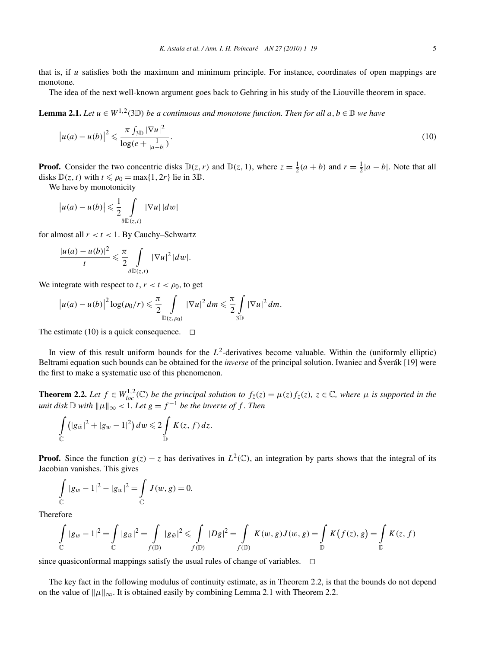that is, if *u* satisfies both the maximum and minimum principle. For instance, coordinates of open mappings are monotone.

The idea of the next well-known argument goes back to Gehring in his study of the Liouville theorem in space.

**Lemma 2.1.** *Let u* ∈ *W*<sup>1,2</sup>(3 $\mathbb{D}$ ) *be a continuous and monotone function. Then for all a*, *b* ∈  $\mathbb{D}$  *we have* 

$$
\left|u(a) - u(b)\right|^2 \leqslant \frac{\pi \int_{3\mathbb{D}} |\nabla u|^2}{\log(e + \frac{1}{|a - b|})}.
$$
\n<sup>(10)</sup>

**Proof.** Consider the two concentric disks  $\mathbb{D}(z, r)$  and  $\mathbb{D}(z, 1)$ , where  $z = \frac{1}{2}(a + b)$  and  $r = \frac{1}{2}|a - b|$ . Note that all disks  $\mathbb{D}(z, t)$  with  $t \leq \rho_0 = \max\{1, 2r\}$  lie in 3D.

We have by monotonicity

$$
\left| u(a) - u(b) \right| \leqslant \frac{1}{2} \int\limits_{\partial D(z,t)} |\nabla u| \, |dw|
$$

for almost all  $r < t < 1$ . By Cauchy–Schwartz

$$
\frac{|u(a)-u(b)|^2}{t}\leq \frac{\pi}{2}\int\limits_{\partial\mathbb{D}(z,t)}|\nabla u|^2\,|dw|.
$$

We integrate with respect to  $t, r < t < \rho_0$ , to get

$$
\left|u(a)-u(b)\right|^2\log(\rho_0/r)\leqslant \frac{\pi}{2}\int\limits_{\mathbb{D}(z,\rho_0)}|\nabla u|^2\,dm\leqslant \frac{\pi}{2}\int\limits_{3\mathbb{D}}|\nabla u|^2\,dm.
$$

The estimate (10) is a quick consequence.  $\Box$ 

In view of this result uniform bounds for the  $L^2$ -derivatives become valuable. Within the (uniformly elliptic) Beltrami equation such bounds can be obtained for the *inverse* of the principal solution. Iwaniec and Šverák [19] were the first to make a systematic use of this phenomenon.

**Theorem 2.2.** Let  $f \in W_{loc}^{1,2}(\mathbb{C})$  be the principal solution to  $f_{\overline{z}}(z) = \mu(z) f_z(z)$ ,  $z \in \mathbb{C}$ , where  $\mu$  is supported in the *unit disk*  $\mathbb D$  *with*  $\|\mu\|_{\infty} < 1$ *. Let*  $g = f^{-1}$  *be the inverse of f. Then* 

$$
\int\limits_{\mathbb{C}}\left(|g_{\bar{w}}|^2+|g_w-1|^2\right)dw\leqslant 2\int\limits_{\mathbb{D}}K(z,f)\,dz.
$$

**Proof.** Since the function  $g(z) - z$  has derivatives in  $L^2(\mathbb{C})$ , an integration by parts shows that the integral of its Jacobian vanishes. This gives

$$
\int_{\mathbb{C}} |g_w - 1|^2 - |g_{\bar{w}}|^2 = \int_{\mathbb{C}} J(w, g) = 0.
$$

Therefore

$$
\int_{\mathbb{C}} |g_w - 1|^2 = \int_{\mathbb{C}} |g_{\tilde{w}}|^2 = \int_{f(\mathbb{D})} |g_{\tilde{w}}|^2 \le \int_{f(\mathbb{D})} |Dg|^2 = \int_{f(\mathbb{D})} K(w, g) J(w, g) = \int_{\mathbb{D}} K(f(z), g) = \int_{\mathbb{D}} K(z, f)
$$

since quasiconformal mappings satisfy the usual rules of change of variables.  $\Box$ 

The key fact in the following modulus of continuity estimate, as in Theorem 2.2, is that the bounds do not depend on the value of  $||\mu||_{\infty}$ . It is obtained easily by combining Lemma 2.1 with Theorem 2.2.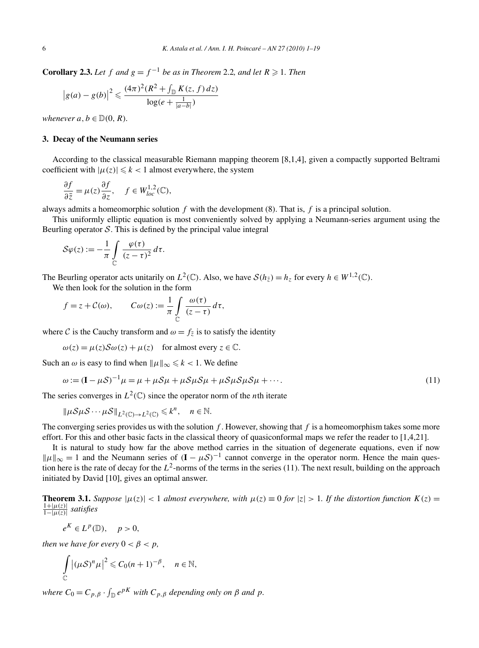**Corollary 2.3.** *Let*  $f$  *and*  $g = f^{-1}$  *be as in Theorem* 2.2*, and let*  $R \ge 1$ *. Then* 

$$
|g(a) - g(b)|^2 \le \frac{(4\pi)^2 (R^2 + \int_{\mathbb{D}} K(z, f) dz)}{\log(e + \frac{1}{|a - b|})}
$$

*whenever*  $a, b \in \mathbb{D}(0, R)$ *.* 

# **3. Decay of the Neumann series**

According to the classical measurable Riemann mapping theorem [8,1,4], given a compactly supported Beltrami coefficient with  $|\mu(z)| \le k < 1$  almost everywhere, the system

$$
\frac{\partial f}{\partial \bar{z}} = \mu(z) \frac{\partial f}{\partial z}, \quad f \in W_{loc}^{1,2}(\mathbb{C}),
$$

always admits a homeomorphic solution *f* with the development (8). That is, *f* is a principal solution.

This uniformly elliptic equation is most conveniently solved by applying a Neumann-series argument using the Beurling operator  $S$ . This is defined by the principal value integral

$$
\mathcal{S}\varphi(z) := -\frac{1}{\pi} \int\limits_{\mathbb{C}} \frac{\varphi(\tau)}{(z-\tau)^2} d\tau.
$$

The Beurling operator acts unitarily on  $L^2(\mathbb{C})$ . Also, we have  $S(h_{\overline{z}}) = h_z$  for every  $h \in W^{1,2}(\mathbb{C})$ .

We then look for the solution in the form

$$
f = z + C(\omega)
$$
,  $C\omega(z) := \frac{1}{\pi} \int_{\mathbb{C}} \frac{\omega(\tau)}{(z - \tau)} d\tau$ ,

where C is the Cauchy transform and  $\omega = f_{\overline{z}}$  is to satisfy the identity

 $\omega(z) = \mu(z) \mathcal{S} \omega(z) + \mu(z)$  for almost every  $z \in \mathbb{C}$ .

Such an  $\omega$  is easy to find when  $\|\mu\|_{\infty} \le k < 1$ . We define

$$
\omega := (\mathbf{I} - \mu S)^{-1} \mu = \mu + \mu S \mu + \mu S \mu S \mu + \mu S \mu S \mu + \cdots. \tag{11}
$$

The series converges in  $L^2(\mathbb{C})$  since the operator norm of the *n*th iterate

$$
\|\mu \mathcal{S} \mu \mathcal{S} \cdots \mu \mathcal{S}\|_{L^2(\mathbb{C}) \to L^2(\mathbb{C})} \leq k^n, \quad n \in \mathbb{N}.
$$

The converging series provides us with the solution *f* . However, showing that *f* is a homeomorphism takes some more effort. For this and other basic facts in the classical theory of quasiconformal maps we refer the reader to [1,4,21].

It is natural to study how far the above method carries in the situation of degenerate equations, even if now  $||\mu||_{\infty} = 1$  and the Neumann series of  $(I - \mu S)^{-1}$  cannot converge in the operator norm. Hence the main question here is the rate of decay for the  $L^2$ -norms of the terms in the series (11). The next result, building on the approach initiated by David [10], gives an optimal answer.

**Theorem 3.1.** *Suppose*  $|\mu(z)| < 1$  *almost everywhere, with*  $\mu(z) \equiv 0$  *for*  $|z| > 1$ *. If the distortion function*  $K(z) = 1$  $\frac{1+|\mu(z)|}{1-|\mu(z)|}$  *satisfies* 

$$
e^K \in L^p(\mathbb{D}), \quad p > 0,
$$

*then we have for every*  $0 < \beta < p$ *,* 

$$
\int_{\mathbb{C}} |(\mu \mathcal{S})^n \mu|^2 \leqslant C_0 (n+1)^{-\beta}, \quad n \in \mathbb{N},
$$

*where*  $C_0 = C_{p,\beta} \cdot \int_{\mathbb{D}} e^{pK}$  *with*  $C_{p,\beta}$  *depending only on*  $\beta$  *and*  $p$ *.*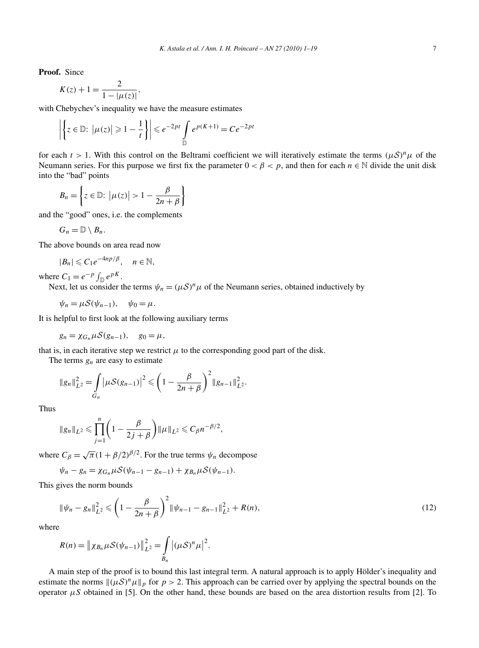**Proof.** Since

$$
K(z) + 1 = \frac{2}{1 - |\mu(z)|},
$$

with Chebychev's inequality we have the measure estimates

$$
\left| \left\{ z \in \mathbb{D} : \left| \mu(z) \right| \geqslant 1 - \frac{1}{t} \right\} \right| \leqslant e^{-2pt} \int_{\mathbb{D}} e^{p(K+1)} = Ce^{-2pt}
$$

for each  $t > 1$ . With this control on the Beltrami coefficient we will iteratively estimate the terms  $(\mu S)^n \mu$  of the Neumann series. For this purpose we first fix the parameter  $0 < \beta < p$ , and then for each  $n \in \mathbb{N}$  divide the unit disk into the "bad" points

$$
B_n = \left\{ z \in \mathbb{D} : \left| \mu(z) \right| > 1 - \frac{\beta}{2n + \beta} \right\}
$$

and the "good" ones, i.e. the complements

$$
G_n=\mathbb{D}\setminus B_n.
$$

The above bounds on area read now

 $|B_n| \leq C_1 e^{-4np/\beta}, \quad n \in \mathbb{N}.$ 

where  $C_1 = e^{-p} \int_{\mathbb{D}} e^{pK}$ .

Next, let us consider the terms  $\psi_n = (\mu S)^n \mu$  of the Neumann series, obtained inductively by

$$
\psi_n = \mu \mathcal{S}(\psi_{n-1}), \quad \psi_0 = \mu.
$$

It is helpful to first look at the following auxiliary terms

$$
g_n = \chi_{G_n} \mu \mathcal{S}(g_{n-1}), \quad g_0 = \mu,
$$

that is, in each iterative step we restrict  $\mu$  to the corresponding good part of the disk.

The terms  $g_n$  are easy to estimate

$$
||g_n||_{L^2}^2 = \int\limits_{G_n} \left| \mu \mathcal{S}(g_{n-1}) \right|^2 \leqslant \left( 1 - \frac{\beta}{2n+\beta} \right)^2 ||g_{n-1}||_{L^2}^2.
$$

Thus

$$
\|g_n\|_{L^2} \leq \prod_{j=1}^n \left(1 - \frac{\beta}{2j + \beta}\right) \|\mu\|_{L^2} \leq C_\beta n^{-\beta/2},
$$

where  $C_\beta = \sqrt{\pi} (1 + \beta/2)^{\beta/2}$ . For the true terms  $\psi_n$  decompose

$$
\psi_n - g_n = \chi_{G_n} \mu \mathcal{S}(\psi_{n-1} - g_{n-1}) + \chi_{B_n} \mu \mathcal{S}(\psi_{n-1}).
$$

This gives the norm bounds

$$
\|\psi_n - g_n\|_{L^2}^2 \leq \left(1 - \frac{\beta}{2n + \beta}\right)^2 \|\psi_{n-1} - g_{n-1}\|_{L^2}^2 + R(n),\tag{12}
$$

where

$$
R(n) = \| \chi_{B_n} \mu S(\psi_{n-1}) \|_{L^2}^2 = \int_{B_n} |(\mu S)^n \mu|^2.
$$

A main step of the proof is to bound this last integral term. A natural approach is to apply Hölder's inequality and estimate the norms  $\|(\mu S)^n \mu\|_p$  for  $p > 2$ . This approach can be carried over by applying the spectral bounds on the operator *μS* obtained in [5]. On the other hand, these bounds are based on the area distortion results from [2]. To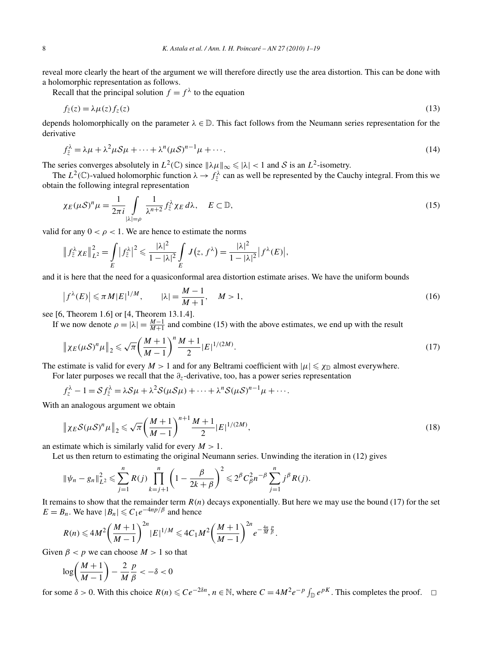reveal more clearly the heart of the argument we will therefore directly use the area distortion. This can be done with a holomorphic representation as follows.

Recall that the principal solution  $f = f^{\lambda}$  to the equation

$$
f_{\bar{z}}(z) = \lambda \mu(z) f_z(z) \tag{13}
$$

depends holomorphically on the parameter  $\lambda \in \mathbb{D}$ . This fact follows from the Neumann series representation for the derivative

$$
f_{\bar{z}}^{\lambda} = \lambda \mu + \lambda^2 \mu S \mu + \dots + \lambda^n (\mu S)^{n-1} \mu + \dots
$$
 (14)

The series converges absolutely in  $L^2(\mathbb{C})$  since  $\|\lambda\mu\|_{\infty} \le |\lambda| < 1$  and S is an  $L^2$ -isometry.

The  $L^2(\mathbb{C})$ -valued holomorphic function  $\lambda \to f^{\lambda}_{\bar{z}}$  can as well be represented by the Cauchy integral. From this we obtain the following integral representation

$$
\chi_E(\mu S)^n \mu = \frac{1}{2\pi i} \int_{|\lambda|=p} \frac{1}{\lambda^{n+2}} f_{\bar{z}}^{\lambda} \chi_E d\lambda, \quad E \subset \mathbb{D},
$$
\n(15)

valid for any  $0 < \rho < 1$ . We are hence to estimate the norms

$$
\left\|f_{\bar{z}}^{\lambda}\chi_E\right\|_{L^2}^2=\int\limits_E\left|f_{\bar{z}}^{\lambda}\right|^2\leqslant\frac{|\lambda|^2}{1-|\lambda|^2}\int\limits_E J(z,f^{\lambda})=\frac{|\lambda|^2}{1-|\lambda|^2}\left|f^{\lambda}(E)\right|,
$$

and it is here that the need for a quasiconformal area distortion estimate arises. We have the uniform bounds

$$
\left|f^{\lambda}(E)\right| \leqslant \pi M |E|^{1/M}, \qquad |\lambda| = \frac{M-1}{M+1}, \quad M > 1,
$$
\n<sup>(16)</sup>

see [6, Theorem 1.6] or [4, Theorem 13.1.4].

If we now denote  $\rho = |\lambda| = \frac{M-1}{M+1}$  and combine (15) with the above estimates, we end up with the result

$$
\|\chi_E(\mu S)^n\mu\|_2 \leq \sqrt{\pi} \left(\frac{M+1}{M-1}\right)^n \frac{M+1}{2} |E|^{1/(2M)}.
$$
\n(17)

The estimate is valid for every  $M > 1$  and for any Beltrami coefficient with  $|\mu| \le \chi_{\mathbb{D}}$  almost everywhere.

For later purposes we recall that the *∂z*-derivative, too, has a power series representation

$$
f_z^{\lambda} - 1 = \mathcal{S} f_{\bar{z}}^{\lambda} = \lambda \mathcal{S} \mu + \lambda^2 \mathcal{S} (\mu \mathcal{S} \mu) + \dots + \lambda^n \mathcal{S} (\mu \mathcal{S})^{n-1} \mu + \dots
$$

With an analogous argument we obtain

$$
\|\chi_E S(\mu S)^n \mu\|_2 \le \sqrt{\pi} \left(\frac{M+1}{M-1}\right)^{n+1} \frac{M+1}{2} |E|^{1/(2M)},\tag{18}
$$

an estimate which is similarly valid for every  $M > 1$ .

Let us then return to estimating the original Neumann series. Unwinding the iteration in (12) gives

$$
\|\psi_n - g_n\|_{L^2}^2 \leq \sum_{j=1}^n R(j) \prod_{k=j+1}^n \left(1 - \frac{\beta}{2k + \beta}\right)^2 \leq 2^{\beta} C_{\beta}^2 n^{-\beta} \sum_{j=1}^n j^{\beta} R(j).
$$

It remains to show that the remainder term  $R(n)$  decays exponentially. But here we may use the bound (17) for the set  $E = B_n$ . We have  $|B_n| \leq C_1 e^{-4np/\beta}$  and hence

$$
R(n) \leq 4M^2 \bigg( \frac{M+1}{M-1} \bigg)^{2n} |E|^{1/M} \leq 4C_1 M^2 \bigg( \frac{M+1}{M-1} \bigg)^{2n} e^{-\frac{4n}{M} \frac{p}{\beta}}.
$$

Given  $\beta$  < *p* we can choose  $M > 1$  so that

$$
\log\left(\frac{M+1}{M-1}\right) - \frac{2}{M}\frac{p}{\beta} < -\delta < 0
$$

for some  $\delta > 0$ . With this choice  $R(n) \leq C e^{-2\delta n}$ ,  $n \in \mathbb{N}$ , where  $C = 4M^2 e^{-p} \int_{\mathbb{D}} e^{pK}$ . This completes the proof.  $\Box$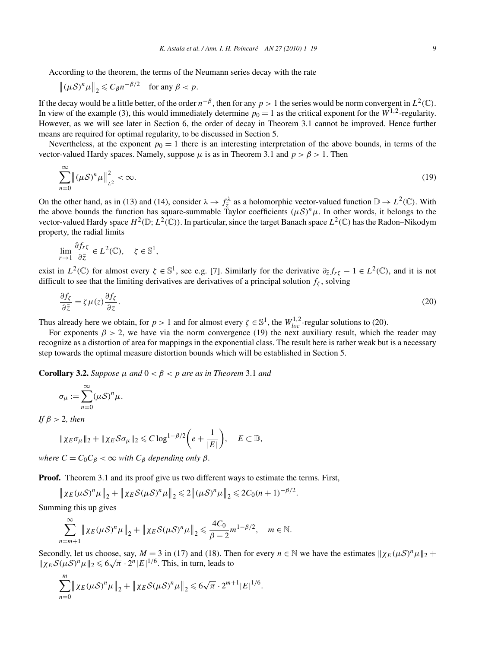According to the theorem, the terms of the Neumann series decay with the rate

$$
\|(\mu S)^n \mu\|_2 \leqslant C_\beta n^{-\beta/2} \quad \text{for any } \beta < p.
$$

If the decay would be a little better, of the order  $n^{-\beta}$ , then for any *p* > 1 the series would be norm convergent in  $L^2(\mathbb{C})$ . In view of the example (3), this would immediately determine  $p_0 = 1$  as the critical exponent for the  $W^{1,2}$ -regularity. However, as we will see later in Section 6, the order of decay in Theorem 3.1 cannot be improved. Hence further means are required for optimal regularity, to be discussed in Section 5.

Nevertheless, at the exponent  $p_0 = 1$  there is an interesting interpretation of the above bounds, in terms of the vector-valued Hardy spaces. Namely, suppose  $\mu$  is as in Theorem 3.1 and  $p > \beta > 1$ . Then

$$
\sum_{n=0}^{\infty} \left\| (\mu \mathcal{S})^n \mu \right\|_{L^2}^2 < \infty. \tag{19}
$$

On the other hand, as in (13) and (14), consider  $\lambda \to f_{\overline{z}}^{\lambda}$  as a holomorphic vector-valued function  $\mathbb{D} \to L^2(\mathbb{C})$ . With the above bounds the function has square-summable Taylor coefficients  $(\mu S)^n \mu$ . In other words, it belongs to the vector-valued Hardy space  $H^2(\mathbb{D}; L^2(\mathbb{C}))$ . In particular, since the target Banach space  $L^2(\mathbb{C})$  has the Radon–Nikodym property, the radial limits

$$
\lim_{r \to 1} \frac{\partial f_{r\zeta}}{\partial \bar{z}} \in L^2(\mathbb{C}), \quad \zeta \in \mathbb{S}^1,
$$

exist in  $L^2(\mathbb{C})$  for almost every  $\zeta \in \mathbb{S}^1$ , see e.g. [7]. Similarly for the derivative  $\partial_{\bar{z}} f_{r\zeta} - 1 \in L^2(\mathbb{C})$ , and it is not difficult to see that the limiting derivatives are derivatives of a principal solution  $f_\zeta$ , solving

$$
\frac{\partial f_{\zeta}}{\partial \bar{z}} = \zeta \mu(z) \frac{\partial f_{\zeta}}{\partial z}.
$$
\n(20)

Thus already here we obtain, for  $p > 1$  and for almost every  $\zeta \in \mathbb{S}^1$ , the  $W_{loc}^{1,2}$ -regular solutions to (20).

For exponents  $\beta > 2$ , we have via the norm convergence (19) the next auxiliary result, which the reader may recognize as a distortion of area for mappings in the exponential class. The result here is rather weak but is a necessary step towards the optimal measure distortion bounds which will be established in Section 5.

**Corollary 3.2.** *Suppose*  $\mu$  *and*  $0 < \beta < p$  *are as in Theorem* 3.1 *and* 

$$
\sigma_{\mu} := \sum_{n=0}^{\infty} (\mu S)^n \mu.
$$

*If β >* 2*, then*

$$
\|\chi_E \sigma_\mu\|_2 + \|\chi_E \mathcal{S} \sigma_\mu\|_2 \leqslant C \log^{1-\beta/2} \bigg(e + \frac{1}{|E|}\bigg), \quad E \subset \mathbb{D},
$$

*where*  $C = C_0 C_0 < \infty$  *with*  $C_0$  *depending only*  $\beta$ *.* 

**Proof.** Theorem 3.1 and its proof give us two different ways to estimate the terms. First,

 $\left\|\chi_E(\mu S)^n\mu\right\|_2 + \left\|\chi_E\mathcal{S}(\mu S)^n\mu\right\|_2 \leq 2\left\|(\mu S)^n\mu\right\|_2 \leq 2C_0(n+1)^{-\beta/2}.$ 

Summing this up gives

$$
\sum_{n=m+1}^{\infty} \left\| \chi_E(\mu \mathcal{S})^n \mu \right\|_2 + \left\| \chi_E \mathcal{S}(\mu \mathcal{S})^n \mu \right\|_2 \leq \frac{4C_0}{\beta - 2} m^{1 - \beta/2}, \quad m \in \mathbb{N}.
$$

Secondly, let us choose, say,  $M = 3$  in (17) and (18). Then for every  $n \in \mathbb{N}$  we have the estimates  $\|\chi_E(\mu S)^n \mu\|_2 +$  $\int \chi_E S(\mu S)^n \mu \|_2 \leq 6\sqrt{\pi} \cdot 2^n |E|^{1/6}$ . This, in turn, leads to

$$
\sum_{n=0}^m \|\chi_E(\mu S)^n\mu\|_2 + \|\chi_E S(\mu S)^n\mu\|_2 \leqslant 6\sqrt{\pi} \cdot 2^{m+1} |E|^{1/6}.
$$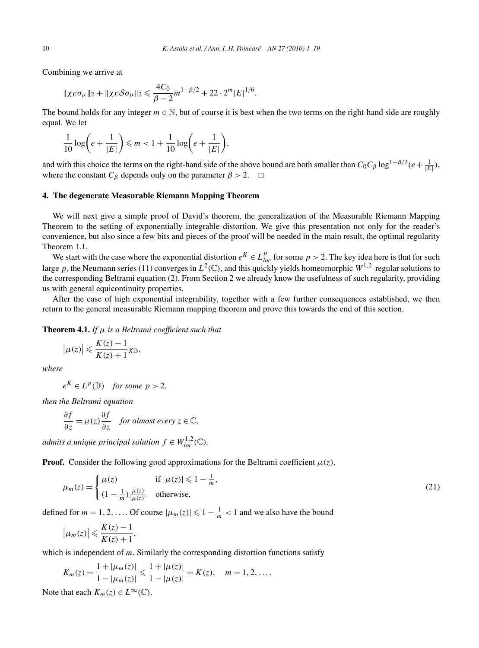Combining we arrive at

$$
\|\chi_E \sigma_\mu\|_2 + \|\chi_E \mathcal{S} \sigma_\mu\|_2 \leq \frac{4C_0}{\beta - 2} m^{1 - \beta/2} + 22 \cdot 2^m |E|^{1/6}.
$$

The bound holds for any integer  $m \in \mathbb{N}$ , but of course it is best when the two terms on the right-hand side are roughly equal. We let

$$
\frac{1}{10}\log\bigg(e+\frac{1}{|E|}\bigg) \leq m < 1+\frac{1}{10}\log\bigg(e+\frac{1}{|E|}\bigg),
$$

and with this choice the terms on the right-hand side of the above bound are both smaller than  $C_0C_\beta \log^{1-\beta/2}(e+\frac{1}{|E|})$ , where the constant  $C_\beta$  depends only on the parameter  $\beta > 2$ .  $\Box$ 

## **4. The degenerate Measurable Riemann Mapping Theorem**

We will next give a simple proof of David's theorem, the generalization of the Measurable Riemann Mapping Theorem to the setting of exponentially integrable distortion. We give this presentation not only for the reader's convenience, but also since a few bits and pieces of the proof will be needed in the main result, the optimal regularity Theorem 1.1.

We start with the case where the exponential distortion  $e^{K} \in L_{loc}^{p}$  for some  $p > 2$ . The key idea here is that for such large p, the Neumann series (11) converges in  $L^2(\mathbb{C})$ , and this quickly yields homeomorphic  $W^{1,2}$ -regular solutions to the corresponding Beltrami equation (2). From Section 2 we already know the usefulness of such regularity, providing us with general equicontinuity properties.

After the case of high exponential integrability, together with a few further consequences established, we then return to the general measurable Riemann mapping theorem and prove this towards the end of this section.

**Theorem 4.1.** *If μ is a Beltrami coefficient such that*

$$
\big|\mu(z)\big|\leqslant \frac{K(z)-1}{K(z)+1}\chi_{\mathbb{D}},
$$

*where*

 $e^{K} \in L^{p}(\mathbb{D})$  *for some*  $p > 2$ *,* 

*then the Beltrami equation*

$$
\frac{\partial f}{\partial \bar{z}} = \mu(z) \frac{\partial f}{\partial z} \quad \text{for almost every } z \in \mathbb{C},
$$

*admits a unique principal solution*  $f \in W_{loc}^{1,2}(\mathbb{C})$ *.* 

**Proof.** Consider the following good approximations for the Beltrami coefficient  $\mu(z)$ ,

$$
\mu_m(z) = \begin{cases} \mu(z) & \text{if } |\mu(z)| \leq 1 - \frac{1}{m}, \\ \left(1 - \frac{1}{m}\right) \frac{\mu(z)}{|\mu(z)|} & \text{otherwise,} \end{cases} \tag{21}
$$

defined for  $m = 1, 2, \ldots$  . Of course  $|\mu_m(z)| \leq 1 - \frac{1}{m} < 1$  and we also have the bound

$$
\big|\mu_m(z)\big|\leqslant \frac{K(z)-1}{K(z)+1},
$$

which is independent of *m*. Similarly the corresponding distortion functions satisfy

$$
K_m(z) = \frac{1 + |\mu_m(z)|}{1 - |\mu_m(z)|} \leq \frac{1 + |\mu(z)|}{1 - |\mu(z)|} = K(z), \quad m = 1, 2, ....
$$

Note that each  $K_m(z) \in L^\infty(\mathbb{C})$ .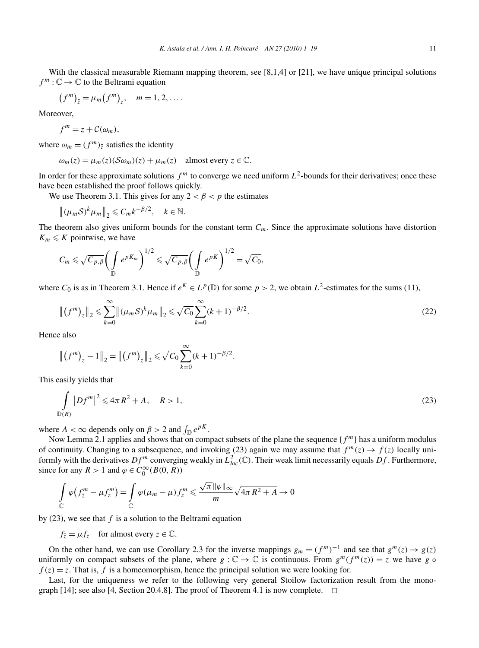With the classical measurable Riemann mapping theorem, see [8,1,4] or [21], we have unique principal solutions  $f^m: \mathbb{C} \to \mathbb{C}$  to the Beltrami equation

$$
(fm)\bar{z} = \mu_m (fm)z, \quad m = 1, 2, ....
$$

Moreover,

$$
f^m = z + C(\omega_m),
$$

where  $\omega_m = (f^m)_{\bar{z}}$  satisfies the identity

$$
\omega_m(z) = \mu_m(z)(S\omega_m)(z) + \mu_m(z) \quad \text{almost every } z \in \mathbb{C}.
$$

In order for these approximate solutions  $f^m$  to converge we need uniform  $L^2$ -bounds for their derivatives; once these have been established the proof follows quickly.

We use Theorem 3.1. This gives for any  $2 < \beta < p$  the estimates

$$
\left\|(\mu_m S)^k \mu_m \right\|_2 \leq C_m k^{-\beta/2}, \quad k \in \mathbb{N}.
$$

The theorem also gives uniform bounds for the constant term  $C_m$ . Since the approximate solutions have distortion  $K_m \leqslant K$  pointwise, we have

$$
C_m \leqslant \sqrt{C_{p,\beta}} \bigg( \int_{\mathbb{D}} e^{pK_m} \bigg)^{1/2} \leqslant \sqrt{C_{p,\beta}} \bigg( \int_{\mathbb{D}} e^{pK} \bigg)^{1/2} = \sqrt{C_0},
$$

where  $C_0$  is as in Theorem 3.1. Hence if  $e^K \in L^p(\mathbb{D})$  for some  $p > 2$ , we obtain  $L^2$ -estimates for the sums (11),

$$
\left\| \left( f^{m} \right)_{\bar{z}} \right\|_{2} \leq \sum_{k=0}^{\infty} \left\| \left( \mu_{m} \mathcal{S} \right)^{k} \mu_{m} \right\|_{2} \leq \sqrt{C_{0}} \sum_{k=0}^{\infty} (k+1)^{-\beta/2}.
$$
\n(22)

Hence also

$$
\left\| \left( f^{m} \right)_{z} - 1 \right\|_{2} = \left\| \left( f^{m} \right)_{\bar{z}} \right\|_{2} \leq \sqrt{C_{0}} \sum_{k=0}^{\infty} (k+1)^{-\beta/2}.
$$

This easily yields that

$$
\int_{\mathbb{D}(R)} |Df^m|^2 \leq 4\pi R^2 + A, \quad R > 1,
$$
\n(23)

where  $A < \infty$  depends only on  $\beta > 2$  and  $\int_{\mathbb{D}} e^{pK}$ .

Now Lemma 2.1 applies and shows that on compact subsets of the plane the sequence  ${f^m}$  has a uniform modulus of continuity. Changing to a subsequence, and invoking (23) again we may assume that  $f^m(z) \to f(z)$  locally uniformly with the derivatives  $Df^m$  converging weakly in  $L^2_{loc}(\mathbb{C})$ . Their weak limit necessarily equals  $Df$ . Furthermore, since for any  $R > 1$  and  $\varphi \in C_0^{\infty}(B(0, R))$ 

$$
\int_{\mathbb{C}} \varphi \big( f_{\overline{z}}^m - \mu f_z^m \big) = \int_{\mathbb{C}} \varphi \big( \mu_m - \mu \big) f_z^m \leqslant \frac{\sqrt{\pi} \|\varphi\|_{\infty}}{m} \sqrt{4\pi R^2 + A} \to 0
$$

by (23), we see that *f* is a solution to the Beltrami equation

$$
f_{\overline{z}} = \mu f_z
$$
 for almost every  $z \in \mathbb{C}$ .

On the other hand, we can use Corollary 2.3 for the inverse mappings  $g_m = (f^m)^{-1}$  and see that  $g^m(z) \to g(z)$ uniformly on compact subsets of the plane, where  $g : \mathbb{C} \to \mathbb{C}$  is continuous. From  $g^m(f^m(z)) = z$  we have  $g \circ$  $f(z) = z$ . That is, *f* is a homeomorphism, hence the principal solution we were looking for.

Last, for the uniqueness we refer to the following very general Stoilow factorization result from the monograph [14]; see also [4, Section 20.4.8]. The proof of Theorem 4.1 is now complete.  $\Box$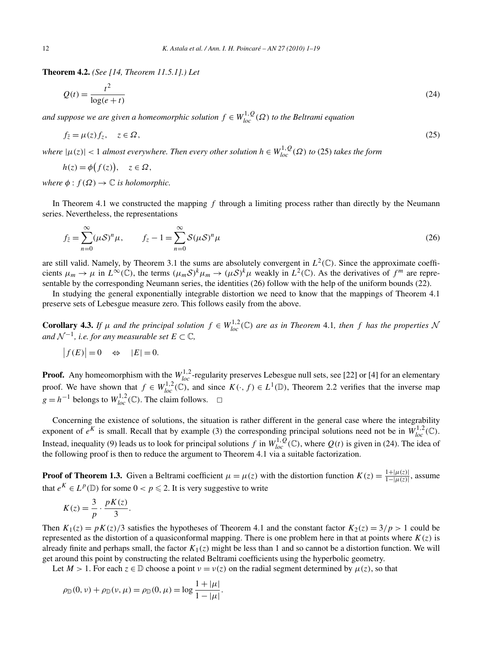**Theorem 4.2.** *(See [14, Theorem 11.5.1].) Let*

$$
Q(t) = \frac{t^2}{\log(e+t)}\tag{24}
$$

*and suppose we are given a homeomorphic solution*  $f \in W_{loc}^{1,Q}(\Omega)$  *to the Beltrami equation* 

$$
f_{\bar{z}} = \mu(z) f_z, \quad z \in \Omega,
$$
\n<sup>(25)</sup>

*where*  $|\mu(z)| < 1$  *almost everywhere. Then every other solution*  $h \in W_{loc}^{1,Q}(\Omega)$  *to* (25) *takes the form* 

$$
h(z) = \phi(f(z)), \quad z \in \Omega,
$$

*where*  $\phi$  :  $f(\Omega) \rightarrow \mathbb{C}$  *is holomorphic.* 

In Theorem 4.1 we constructed the mapping *f* through a limiting process rather than directly by the Neumann series. Nevertheless, the representations

$$
f_{\bar{z}} = \sum_{n=0}^{\infty} (\mu \mathcal{S})^n \mu, \qquad f_z - 1 = \sum_{n=0}^{\infty} \mathcal{S}(\mu \mathcal{S})^n \mu
$$
 (26)

are still valid. Namely, by Theorem 3.1 the sums are absolutely convergent in  $L^2(\mathbb{C})$ . Since the approximate coefficients  $\mu_m \to \mu$  in  $L^{\infty}(\mathbb{C})$ , the terms  $(\mu_m S)^k \mu_m \to (\mu S)^k \mu$  weakly in  $L^2(\mathbb{C})$ . As the derivatives of  $f^m$  are representable by the corresponding Neumann series, the identities (26) follow with the help of the uniform bounds (22).

In studying the general exponentially integrable distortion we need to know that the mappings of Theorem 4.1 preserve sets of Lebesgue measure zero. This follows easily from the above.

**Corollary 4.3.** If  $\mu$  and the principal solution  $f \in W_{loc}^{1,2}(\mathbb{C})$  are as in Theorem 4.1, then  $f$  has the properties N *and*  $\mathcal{N}^{-1}$ *, i.e. for any measurable set*  $E \subset \mathbb{C}$ *,* 

$$
|f(E)| = 0 \quad \Leftrightarrow \quad |E| = 0.
$$

**Proof.** Any homeomorphism with the  $W_{loc}^{1,2}$ -regularity preserves Lebesgue null sets, see [22] or [4] for an elementary proof. We have shown that  $f \in W_{loc}^{1,2}(\mathbb{C})$ , and since  $K(\cdot, f) \in L^1(\mathbb{D})$ , Theorem 2.2 verifies that the inverse map *g* =  $h^{-1}$  belongs to  $W_{loc}^{1,2}$  (ℂ). The claim follows.  $□$ 

Concerning the existence of solutions, the situation is rather different in the general case where the integrability exponent of  $e^{K}$  is small. Recall that by example (3) the corresponding principal solutions need not be in  $W_{loc}^{1,2}(\mathbb{C})$ . Instead, inequality (9) leads us to look for principal solutions *f* in  $W_{loc}^{1,Q}(\mathbb{C})$ , where  $Q(t)$  is given in (24). The idea of the following proof is then to reduce the argument to Theorem 4.1 via a suitable factorization.

**Proof of Theorem 1.3.** Given a Beltrami coefficient  $\mu = \mu(z)$  with the distortion function  $K(z) = \frac{1 + |\mu(z)|}{1 - |\mu(z)|}$ , assume that  $e^{K} \in L^{p}(\mathbb{D})$  for some  $0 < p \leq 2$ . It is very suggestive to write

$$
K(z) = \frac{3}{p} \cdot \frac{pK(z)}{3}.
$$

Then  $K_1(z) = pK(z)/3$  satisfies the hypotheses of Theorem 4.1 and the constant factor  $K_2(z) = 3/p > 1$  could be represented as the distortion of a quasiconformal mapping. There is one problem here in that at points where  $K(z)$  is already finite and perhaps small, the factor  $K_1(z)$  might be less than 1 and so cannot be a distortion function. We will get around this point by constructing the related Beltrami coefficients using the hyperbolic geometry.

Let  $M > 1$ . For each  $z \in \mathbb{D}$  choose a point  $v = v(z)$  on the radial segment determined by  $\mu(z)$ , so that

$$
\rho_{\mathbb{D}}(0,\nu) + \rho_{\mathbb{D}}(\nu,\mu) = \rho_{\mathbb{D}}(0,\mu) = \log \frac{1+|\mu|}{1-|\mu|}.
$$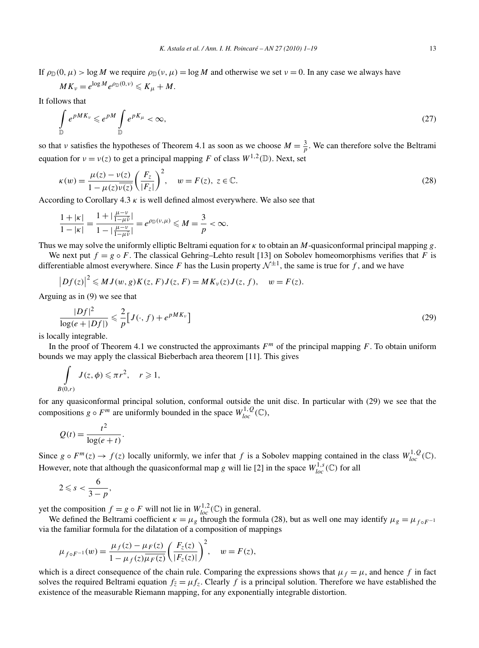If  $\rho_{\mathbb{D}}(0,\mu) > \log M$  we require  $\rho_{\mathbb{D}}(v,\mu) = \log M$  and otherwise we set  $v = 0$ . In any case we always have

$$
MK_{\nu}=e^{\log M}e^{\rho_{\mathbb{D}}(0,\nu)}\leqslant K_{\mu}+M.
$$

It follows that

$$
\int_{\mathbb{D}} e^{pMK_v} \leqslant e^{pM} \int_{\mathbb{D}} e^{pK_\mu} < \infty,\tag{27}
$$

so that *ν* satisfies the hypotheses of Theorem 4.1 as soon as we choose  $M = \frac{3}{p}$ . We can therefore solve the Beltrami equation for  $v = v(z)$  to get a principal mapping *F* of class  $W^{1,2}(\mathbb{D})$ . Next, set

$$
\kappa(w) = \frac{\mu(z) - \nu(z)}{1 - \mu(z)\overline{\nu(z)}} \left(\frac{F_z}{|F_z|}\right)^2, \quad w = F(z), \ z \in \mathbb{C}.
$$
\n(28)

According to Corollary 4.3  $\kappa$  is well defined almost everywhere. We also see that

$$
\frac{1+|\kappa|}{1-|\kappa|} = \frac{1+|\frac{\mu-\nu}{1-\mu\bar{\nu}}|}{1-|\frac{\mu-\nu}{1-\mu\bar{\nu}}|} = e^{\rho_{\mathbb{D}}(\nu,\mu)} \le M = \frac{3}{p} < \infty.
$$

Thus we may solve the uniformly elliptic Beltrami equation for *κ* to obtain an *M*-quasiconformal principal mapping *g*.

We next put  $f = g \circ F$ . The classical Gehring–Lehto result [13] on Sobolev homeomorphisms verifies that *F* is differentiable almost everywhere. Since *F* has the Lusin property  $\mathcal{N}^{\pm 1}$ , the same is true for *f*, and we have

 $\left|Df(z)\right|^2 \leq MJ(w, g)K(z, F)J(z, F) = MK_\nu(z)J(z, f), \quad w = F(z).$ 

Arguing as in (9) we see that

$$
\frac{|Df|^2}{\log(e+|Df|)} \leq \frac{2}{p} \Big[ J(\cdot, f) + e^{pMK_v} \Big] \tag{29}
$$

is locally integrable.

In the proof of Theorem 4.1 we constructed the approximants  $F<sup>m</sup>$  of the principal mapping  $F$ . To obtain uniform bounds we may apply the classical Bieberbach area theorem [11]. This gives

$$
\int\limits_{B(0,r)} J(z,\phi) \leqslant \pi r^2, \quad r \geqslant 1,
$$

for any quasiconformal principal solution, conformal outside the unit disc. In particular with (29) we see that the compositions  $g \circ F^m$  are uniformly bounded in the space  $W_{loc}^{1,Q}(\mathbb{C})$ ,

$$
Q(t) = \frac{t^2}{\log(e+t)}.
$$

Since  $g \circ F^m(z) \to f(z)$  locally uniformly, we infer that  $f$  is a Sobolev mapping contained in the class  $W^{1,Q}_{loc}(\mathbb{C})$ . However, note that although the quasiconformal map *g* will lie [2] in the space  $W_{loc}^{1,s}(\mathbb{C})$  for all

$$
2\leqslant s<\frac{6}{3-p},
$$

yet the composition  $f = g \circ F$  will not lie in  $W_{loc}^{1,2}(\mathbb{C})$  in general.

We defined the Beltrami coefficient  $\kappa = \mu_g$  through the formula (28), but as well one may identify  $\mu_g = \mu_{f \circ F^{-1}}$ via the familiar formula for the dilatation of a composition of mappings

$$
\mu_{f \circ F^{-1}}(w) = \frac{\mu_f(z) - \mu_F(z)}{1 - \mu_f(z) \overline{\mu_F(z)}} \left( \frac{F_z(z)}{|F_z(z)|} \right)^2, \quad w = F(z),
$$

which is a direct consequence of the chain rule. Comparing the expressions shows that  $\mu_f = \mu$ , and hence *f* in fact solves the required Beltrami equation  $f_{\bar{z}} = \mu f_z$ . Clearly *f* is a principal solution. Therefore we have established the existence of the measurable Riemann mapping, for any exponentially integrable distortion.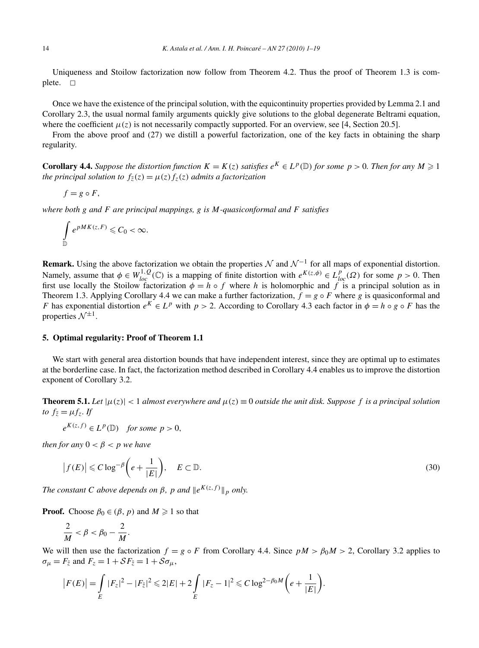Uniqueness and Stoilow factorization now follow from Theorem 4.2. Thus the proof of Theorem 1.3 is complete.  $\square$ 

Once we have the existence of the principal solution, with the equicontinuity properties provided by Lemma 2.1 and Corollary 2.3, the usual normal family arguments quickly give solutions to the global degenerate Beltrami equation, where the coefficient  $\mu(z)$  is not necessarily compactly supported. For an overview, see [4, Section 20.5].

From the above proof and (27) we distill a powerful factorization, one of the key facts in obtaining the sharp regularity.

**Corollary 4.4.** Suppose the distortion function  $K = K(z)$  satisfies  $e^K \in L^p(\mathbb{D})$  for some  $p > 0$ . Then for any  $M \geq 1$ *the principal solution to*  $f_{\overline{z}}(z) = \mu(z) f_{z}(z)$  *admits a factorization* 

$$
f = g \circ F,
$$

*where both g and F are principal mappings, g is M-quasiconformal and F satisfies*

$$
\int\limits_{\mathbb{D}} e^{pMK(z,F)} \leqslant C_0 < \infty.
$$

**Remark.** Using the above factorization we obtain the properties N and  $\mathcal{N}^{-1}$  for all maps of exponential distortion. Namely, assume that  $\phi \in W_{loc}^{1,Q}(\mathbb{C})$  is a mapping of finite distortion with  $e^{K(z,\phi)} \in L_{loc}^{p}(\Omega)$  for some  $p > 0$ . Then first use locally the Stoilow factorization  $\phi = h \circ f$  where *h* is holomorphic and *f* is a principal solution as in Theorem 1.3. Applying Corollary 4.4 we can make a further factorization,  $f = g \circ F$  where g is quasiconformal and *F* has exponential distortion  $e^{K} \in L^{p}$  with  $p > 2$ . According to Corollary 4.3 each factor in  $\phi = h \circ g \circ F$  has the properties  $\mathcal{N}^{\pm 1}$ .

#### **5. Optimal regularity: Proof of Theorem 1.1**

We start with general area distortion bounds that have independent interest, since they are optimal up to estimates at the borderline case. In fact, the factorization method described in Corollary 4.4 enables us to improve the distortion exponent of Corollary 3.2.

**Theorem 5.1.** Let  $|\mu(z)| < 1$  almost everywhere and  $\mu(z) \equiv 0$  outside the unit disk. Suppose f is a principal solution *to*  $f_{\bar{z}} = \mu f_z$ *. If* 

 $e^{K(z,f)} \in L^p(\mathbb{D})$  *for some*  $p > 0$ *,* 

*then for any*  $0 < \beta < p$  *we have* 

$$
\left|f(E)\right| \leqslant C \log^{-\beta} \left(e + \frac{1}{|E|}\right), \quad E \subset \mathbb{D}.
$$
\n(30)

*The constant C above depends on*  $\beta$ *, p and*  $\|e^{K(z,f)}\|_p$  *only.* 

**Proof.** Choose  $\beta_0 \in (\beta, p)$  and  $M \ge 1$  so that

$$
\frac{2}{M} < \beta < \beta_0 - \frac{2}{M}.
$$

We will then use the factorization  $f = g \circ F$  from Corollary 4.4. Since  $pM > \beta_0 M > 2$ , Corollary 3.2 applies to  $\sigma_{\mu} = F_{\bar{z}}$  and  $F_z = 1 + \mathcal{S}F_{\bar{z}} = 1 + \mathcal{S}\sigma_{\mu}$ ,

$$
\left|F(E)\right| = \int\limits_E |F_z|^2 - |F_{\bar{z}}|^2 \leq 2|E| + 2\int\limits_E |F_z - 1|^2 \leqslant C\log^{2-\beta_0 M}\bigg(e + \frac{1}{|E|}\bigg).
$$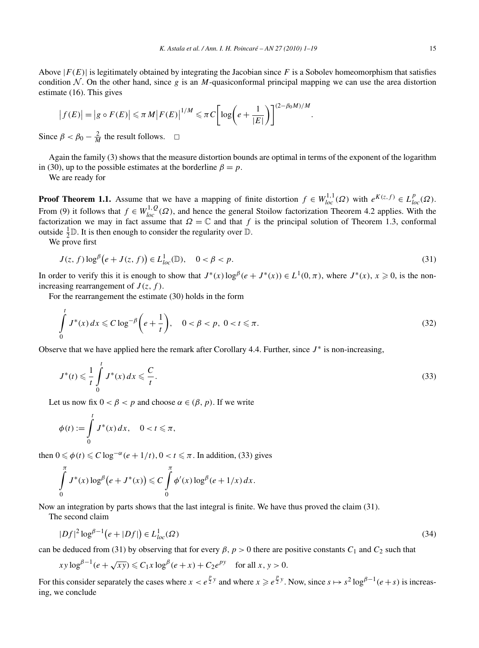Above  $|F(E)|$  is legitimately obtained by integrating the Jacobian since F is a Sobolev homeomorphism that satisfies condition  $N$ . On the other hand, since g is an M-quasiconformal principal mapping we can use the area distortion estimate (16). This gives

$$
\left|f(E)\right| = \left|g \circ F(E)\right| \leqslant \pi M \left|F(E)\right|^{1/M} \leqslant \pi C \left[\log\left(e + \frac{1}{|E|}\right)\right]^{(2-\beta_0 M)/M}.
$$

Since  $\beta < \beta_0 - \frac{2}{M}$  the result follows.  $\Box$ 

Again the family (3) shows that the measure distortion bounds are optimal in terms of the exponent of the logarithm in (30), up to the possible estimates at the borderline  $\beta = p$ .

We are ready for

**Proof Theorem 1.1.** Assume that we have a mapping of finite distortion  $f \in W_{loc}^{1,1}(\Omega)$  with  $e^{K(z,f)} \in L_{loc}^p(\Omega)$ . From (9) it follows that  $f \in W_{loc}^{1,Q}(\Omega)$ , and hence the general Stoilow factorization Theorem 4.2 applies. With the factorization we may in fact assume that  $\Omega = \mathbb{C}$  and that *f* is the principal solution of Theorem 1.3, conformal outside  $\frac{1}{2}$ **D**. It is then enough to consider the regularity over **D**.

We prove first

$$
J(z, f) \log^{\beta} \left( e + J(z, f) \right) \in L_{loc}^{1}(\mathbb{D}), \quad 0 < \beta < p. \tag{31}
$$

In order to verify this it is enough to show that  $J^*(x) \log^\beta(e + J^*(x)) \in L^1(0, \pi)$ , where  $J^*(x)$ ,  $x \ge 0$ , is the nonincreasing rearrangement of  $J(z, f)$ .

For the rearrangement the estimate (30) holds in the form

$$
\int_{0}^{t} J^{*}(x) dx \leq C \log^{-\beta} \left( e + \frac{1}{t} \right), \quad 0 < \beta < p, \ 0 < t \leq \pi.
$$
\n(32)

Observe that we have applied here the remark after Corollary 4.4. Further, since  $J^*$  is non-increasing,

$$
J^*(t) \leqslant \frac{1}{t} \int\limits_0^t J^*(x) \, dx \leqslant \frac{C}{t}.\tag{33}
$$

Let us now fix  $0 < \beta < p$  and choose  $\alpha \in (\beta, p)$ . If we write

$$
\phi(t) := \int\limits_0^t J^*(x) \, dx, \quad 0 < t \leq \pi,
$$

then  $0 \le \phi(t) \le C \log^{-\alpha}(e+1/t), 0 < t \le \pi$ . In addition, (33) gives

$$
\int_{0}^{\pi} J^*(x) \log^{\beta}(e+J^*(x)) \leqslant C \int_{0}^{\pi} \phi'(x) \log^{\beta}(e+1/x) dx.
$$

Now an integration by parts shows that the last integral is finite. We have thus proved the claim (31).

The second claim

$$
|Df|^2 \log^{\beta - 1} (e + |Df|) \in L^1_{loc}(\Omega)
$$
\n(34)

can be deduced from (31) by observing that for every  $\beta$ ,  $p > 0$  there are positive constants  $C_1$  and  $C_2$  such that

$$
xy \log^{\beta - 1}(e + \sqrt{xy}) \leq C_1 x \log^{\beta}(e + x) + C_2 e^{py} \quad \text{for all } x, y > 0.
$$

For this consider separately the cases where  $x < e^{\frac{p}{2}y}$  and where  $x \ge e^{\frac{p}{2}y}$ . Now, since  $s \mapsto s^2 \log^{\beta-1}(e+s)$  is increasing, we conclude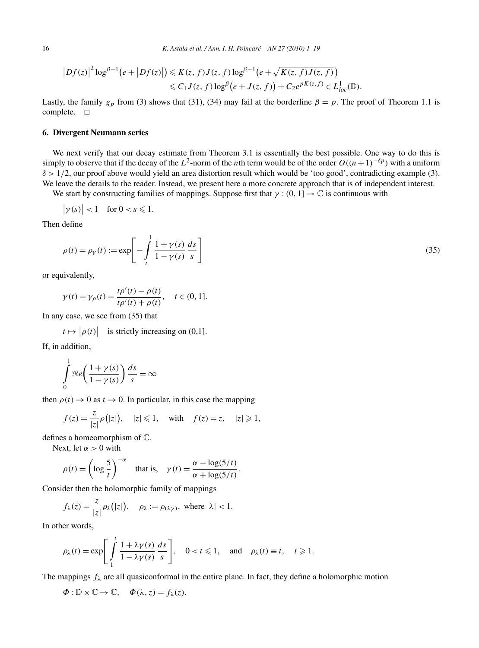$$
\left|Df(z)\right|^2 \log^{\beta-1}\left(e+\left|Df(z)\right|\right) \leqslant K(z,f)J(z,f)\log^{\beta-1}\left(e+\sqrt{K(z,f)J(z,f)}\right)\\ \leqslant C_1J(z,f)\log^{\beta}\left(e+J(z,f)\right)+C_2e^{pK(z,f)}\in L^1_{loc}(\mathbb{D}).
$$

Lastly, the family  $g_p$  from (3) shows that (31), (34) may fail at the borderline  $\beta = p$ . The proof of Theorem 1.1 is complete.  $\square$ 

# **6. Divergent Neumann series**

We next verify that our decay estimate from Theorem 3.1 is essentially the best possible. One way to do this is simply to observe that if the decay of the *L*<sup>2</sup>-norm of the *n*th term would be of the order  $O((n+1)^{-\delta p})$  with a uniform *δ >* 1*/*2, our proof above would yield an area distortion result which would be 'too good', contradicting example (3). We leave the details to the reader. Instead, we present here a more concrete approach that is of independent interest.

We start by constructing families of mappings. Suppose first that  $\gamma$  :  $(0, 1] \rightarrow \mathbb{C}$  is continuous with

$$
\big|\gamma(s)\big|<1\quad\text{for }0
$$

Then define

$$
\rho(t) = \rho_{\gamma}(t) := \exp\left[-\int_{t}^{1} \frac{1 + \gamma(s)}{1 - \gamma(s)} \frac{ds}{s}\right]
$$
\n(35)

or equivalently,

$$
\gamma(t) = \gamma_{\rho}(t) = \frac{t\rho'(t) - \rho(t)}{t\rho'(t) + \rho(t)}, \quad t \in (0, 1].
$$

In any case, we see from (35) that

$$
t \mapsto |\rho(t)|
$$
 is strictly increasing on (0,1].

If, in addition, 1

$$
\int_{0}^{1} \Re e\left(\frac{1+\gamma(s)}{1-\gamma(s)}\right) \frac{ds}{s} = \infty
$$

then  $\rho(t) \rightarrow 0$  as  $t \rightarrow 0$ . In particular, in this case the mapping

$$
f(z) = \frac{z}{|z|} \rho(|z|), \quad |z| \leq 1, \quad \text{with} \quad f(z) = z, \quad |z| \geq 1,
$$

defines a homeomorphism of C.

Next, let  $\alpha > 0$  with

$$
\rho(t) = \left(\log \frac{5}{t}\right)^{-\alpha} \quad \text{that is,} \quad \gamma(t) = \frac{\alpha - \log(5/t)}{\alpha + \log(5/t)}.
$$

Consider then the holomorphic family of mappings

$$
f_{\lambda}(z) = \frac{z}{|z|} \rho_{\lambda}(|z|), \quad \rho_{\lambda} := \rho_{(\lambda \gamma)}, \text{ where } |\lambda| < 1.
$$

In other words,

$$
\rho_{\lambda}(t) = \exp\left[\int_{1}^{t} \frac{1 + \lambda \gamma(s)}{1 - \lambda \gamma(s)} \frac{ds}{s}\right], \quad 0 < t \leq 1, \quad \text{and} \quad \rho_{\lambda}(t) \equiv t, \quad t \geq 1.
$$

The mappings  $f_{\lambda}$  are all quasiconformal in the entire plane. In fact, they define a holomorphic motion

$$
\Phi: \mathbb{D} \times \mathbb{C} \to \mathbb{C}, \quad \Phi(\lambda, z) = f_{\lambda}(z).
$$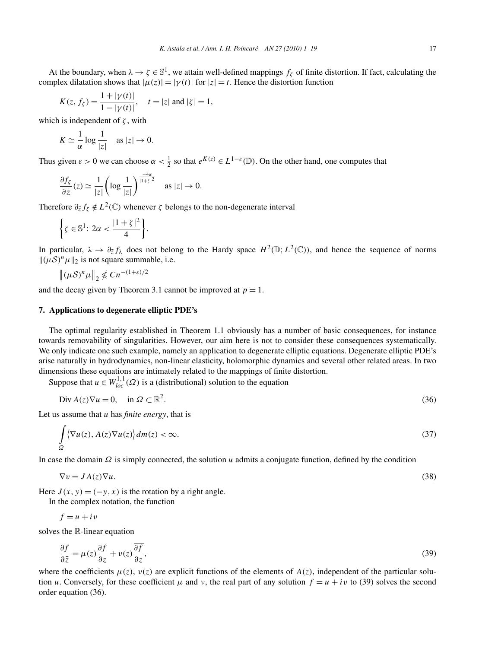At the boundary, when  $\lambda \to \zeta \in \mathbb{S}^1$ , we attain well-defined mappings  $f_\zeta$  of finite distortion. If fact, calculating the complex dilatation shows that  $|\mu(z)| = |\gamma(t)|$  for  $|z| = t$ . Hence the distortion function

$$
K(z, f_{\zeta}) = \frac{1 + |\gamma(t)|}{1 - |\gamma(t)|}, \quad t = |z| \text{ and } |\zeta| = 1,
$$

which is independent of *ζ* , with

$$
K \simeq \frac{1}{\alpha} \log \frac{1}{|z|} \quad \text{as } |z| \to 0.
$$

Thus given  $\varepsilon > 0$  we can choose  $\alpha < \frac{1}{2}$  so that  $e^{K(z)} \in L^{1-\varepsilon}(\mathbb{D})$ . On the other hand, one computes that

$$
\frac{\partial f_{\zeta}}{\partial \bar{z}}(z) \simeq \frac{1}{|z|} \left( \log \frac{1}{|z|} \right)^{\frac{-4\alpha}{|1+\zeta|^2}} \quad \text{as } |z| \to 0.
$$

Therefore  $\partial_{\bar{z}} f_{\zeta} \notin L^2(\mathbb{C})$  whenever  $\zeta$  belongs to the non-degenerate interval

$$
\left\{\zeta \in \mathbb{S}^1 \colon 2\alpha < \frac{|1+\zeta|^2}{4}\right\}.
$$

In particular,  $\lambda \to \partial_{\bar{z}} f_{\lambda}$  does not belong to the Hardy space  $H^2(\mathbb{D}; L^2(\mathbb{C}))$ , and hence the sequence of norms  $\|(\mu S)^n \mu\|_2$  is not square summable, i.e.

$$
\left\|(\mu S)^n \mu\right\|_2 \not\leq C n^{-(1+\varepsilon)/2}
$$

and the decay given by Theorem 3.1 cannot be improved at  $p = 1$ .

## **7. Applications to degenerate elliptic PDE's**

The optimal regularity established in Theorem 1.1 obviously has a number of basic consequences, for instance towards removability of singularities. However, our aim here is not to consider these consequences systematically. We only indicate one such example, namely an application to degenerate elliptic equations. Degenerate elliptic PDE's arise naturally in hydrodynamics, non-linear elasticity, holomorphic dynamics and several other related areas. In two dimensions these equations are intimately related to the mappings of finite distortion.

Suppose that  $u \in W_{loc}^{1,1}(\Omega)$  is a (distributional) solution to the equation

$$
\text{Div}\,A(z)\nabla u = 0, \quad \text{in } \Omega \subset \mathbb{R}^2. \tag{36}
$$

Let us assume that *u* has *finite energy*, that is

$$
\int_{\Omega} \langle \nabla u(z), A(z) \nabla u(z) \rangle dm(z) < \infty. \tag{37}
$$

In case the domain *Ω* is simply connected, the solution *u* admits a conjugate function, defined by the condition

$$
\nabla v = JA(z)\nabla u. \tag{38}
$$

Here  $J(x, y) = (-y, x)$  is the rotation by a right angle.

In the complex notation, the function

$$
f = u + iv
$$

solves the R-linear equation

$$
\frac{\partial f}{\partial \bar{z}} = \mu(z) \frac{\partial f}{\partial z} + \nu(z) \frac{\overline{\partial f}}{\partial z},\tag{39}
$$

where the coefficients  $\mu(z)$ ,  $\nu(z)$  are explicit functions of the elements of  $A(z)$ , independent of the particular solution *u*. Conversely, for these coefficient  $\mu$  and  $\nu$ , the real part of any solution  $f = u + iv$  to (39) solves the second order equation (36).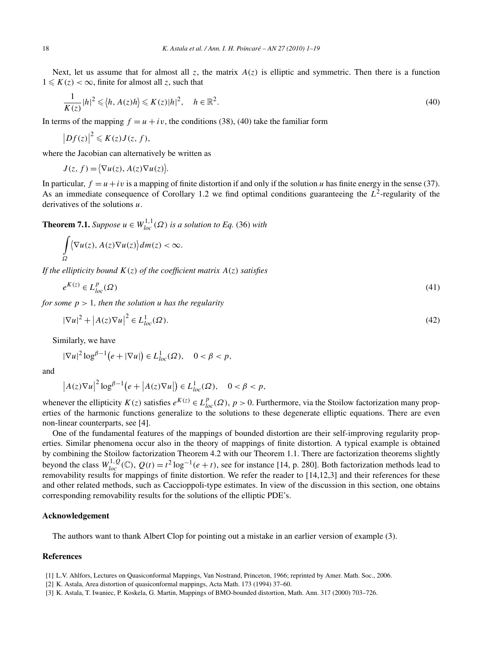Next, let us assume that for almost all *z*, the matrix  $A(z)$  is elliptic and symmetric. Then there is a function  $1 \leqslant K(z) < \infty$ , finite for almost all *z*, such that

$$
\frac{1}{K(z)}|h|^2 \leqslant \langle h, A(z)h \rangle \leqslant K(z)|h|^2, \quad h \in \mathbb{R}^2.
$$
\n
$$
(40)
$$

In terms of the mapping  $f = u + iv$ , the conditions (38), (40) take the familiar form

$$
\left|Df(z)\right|^2 \leqslant K(z)J(z,f),
$$

where the Jacobian can alternatively be written as

 $J(z, f) = \langle \nabla u(z), A(z) \nabla u(z) \rangle$ .

In particular,  $f = u + iv$  is a mapping of finite distortion if and only if the solution *u* has finite energy in the sense (37). As an immediate consequence of Corollary 1.2 we find optimal conditions guaranteeing the  $L^2$ -regularity of the derivatives of the solutions *u*.

**Theorem 7.1.** *Suppose*  $u \in W_{loc}^{1,1}(\Omega)$  *is a solution to Eq.* (36) *with* 

$$
\int_{\Omega} \langle \nabla u(z), A(z) \nabla u(z) \rangle dm(z) < \infty.
$$

*If the ellipticity bound K(z) of the coefficient matrix A(z) satisfies*

$$
e^{K(z)} \in L_{loc}^p(\Omega) \tag{41}
$$

*for some*  $p > 1$ *, then the solution u has the regularity* 

$$
|\nabla u|^2 + |A(z)\nabla u|^2 \in L^1_{loc}(\Omega). \tag{42}
$$

Similarly, we have

$$
|\nabla u|^2 \log^{\beta-1} \bigl(e+|\nabla u|\bigr) \in L^1_{loc}(\Omega), \quad 0 < \beta < p,
$$

and

$$
\left|A(z)\nabla u\right|^2\log^{\beta-1}\big(e+\big|A(z)\nabla u\big|\big)\in L^1_{loc}(\Omega),\quad 0<\beta
$$

whenever the ellipticity  $K(z)$  satisfies  $e^{K(z)} \in L_{loc}^p(\Omega)$ ,  $p > 0$ . Furthermore, via the Stoilow factorization many properties of the harmonic functions generalize to the solutions to these degenerate elliptic equations. There are even non-linear counterparts, see [4].

One of the fundamental features of the mappings of bounded distortion are their self-improving regularity properties. Similar phenomena occur also in the theory of mappings of finite distortion. A typical example is obtained by combining the Stoilow factorization Theorem 4.2 with our Theorem 1.1. There are factorization theorems slightly beyond the class  $W_{loc}^{1,Q}(\mathbb{C})$ ,  $Q(t) = t^2 \log^{-1}(e+t)$ , see for instance [14, p. 280]. Both factorization methods lead to removability results for mappings of finite distortion. We refer the reader to [14,12,3] and their references for these and other related methods, such as Caccioppoli-type estimates. In view of the discussion in this section, one obtains corresponding removability results for the solutions of the elliptic PDE's.

#### **Acknowledgement**

The authors want to thank Albert Clop for pointing out a mistake in an earlier version of example (3).

# **References**

- [1] L.V. Ahlfors, Lectures on Quasiconformal Mappings, Van Nostrand, Princeton, 1966; reprinted by Amer. Math. Soc., 2006.
- [2] K. Astala, Area distortion of quasiconformal mappings, Acta Math. 173 (1994) 37–60.
- [3] K. Astala, T. Iwaniec, P. Koskela, G. Martin, Mappings of BMO-bounded distortion, Math. Ann. 317 (2000) 703–726.